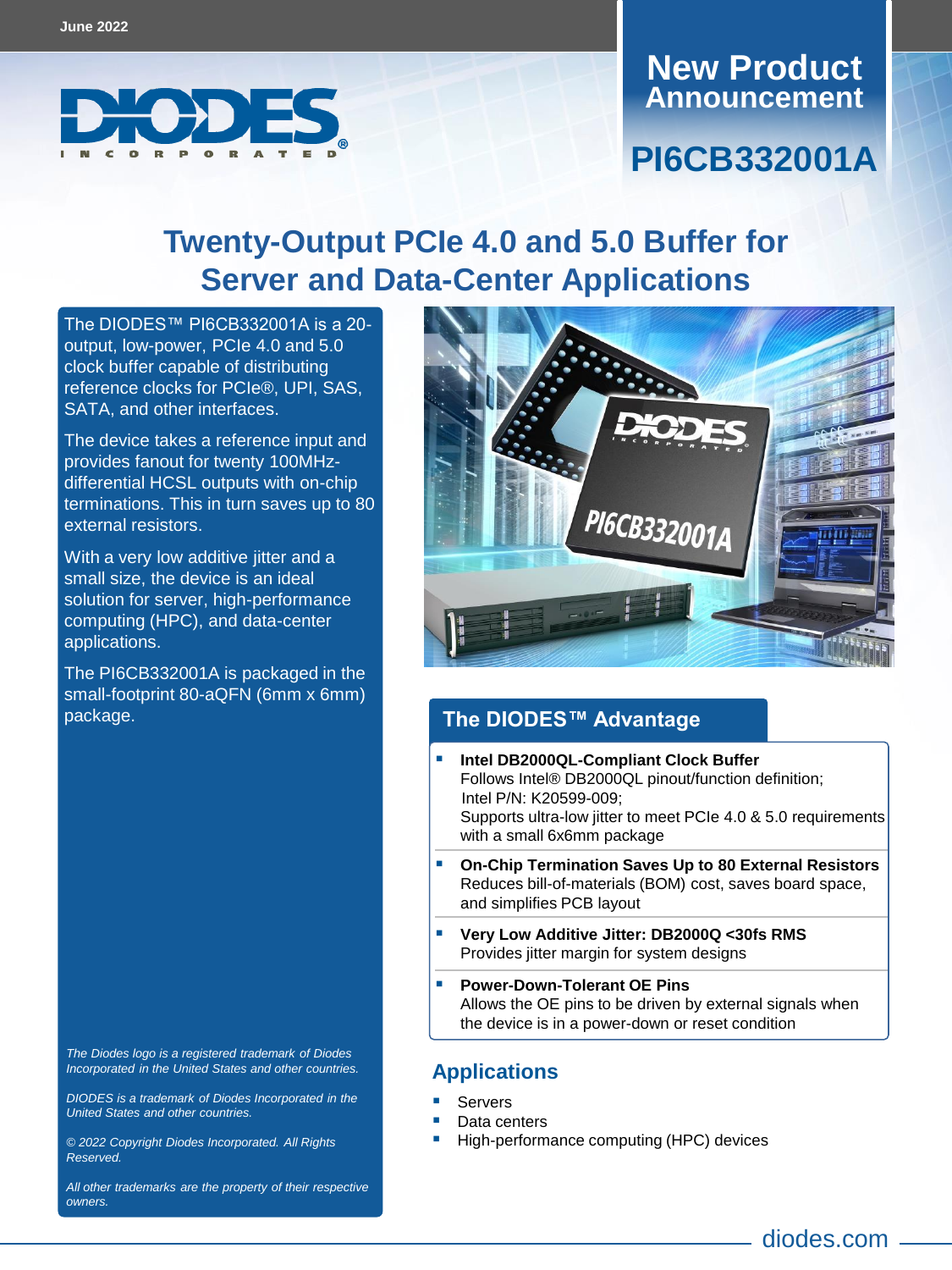

# **Announcement New Product PI6CB332001A**

## **Twenty-Output PCIe 4.0 and 5.0 Buffer for Server and Data-Center Applications**

The DIODES™ [PI6CB332001A](https://www.diodes.com/part/PI6CB332001A) is a 20 output, low-power, PCIe 4.0 and 5.0 clock buffer capable of distributing reference clocks for PCIe®, UPI, SAS, SATA, and other interfaces.

The device takes a reference input and provides fanout for twenty 100MHzdifferential HCSL outputs with on-chip terminations. This in turn saves up to 80 external resistors.

With a very low additive jitter and a small size, the device is an ideal solution for server, high-performance computing (HPC), and data-center applications.

The PI6CB332001A is packaged in the small-footprint 80-aQFN (6mm x 6mm) package.

*The Diodes logo is a registered trademark of Diodes Incorporated in the United States and other countries.* 

*DIODES is a trademark of Diodes Incorporated in the United States and other countries.* 

*© 2022 Copyright Diodes Incorporated. All Rights Reserved.*

*All other trademarks are the property of their respective owners.*



#### **The DIODES™ Advantage**

- **Intel DB2000QL-Compliant Clock Buffer**  Follows Intel® DB2000QL pinout/function definition; Intel P/N: K20599-009; Supports ultra-low jitter to meet PCIe 4.0 & 5.0 requirements with a small 6x6mm package
- **On-Chip Termination Saves Up to 80 External Resistors** Reduces bill-of-materials (BOM) cost, saves board space, and simplifies PCB layout
- **Very Low Additive Jitter: DB2000Q <30fs RMS** Provides jitter margin for system designs
- **Power-Down-Tolerant OE Pins**  Allows the OE pins to be driven by external signals when the device is in a power-down or reset condition

#### **Applications**

- **Servers**
- Data centers
- High-performance computing (HPC) devices